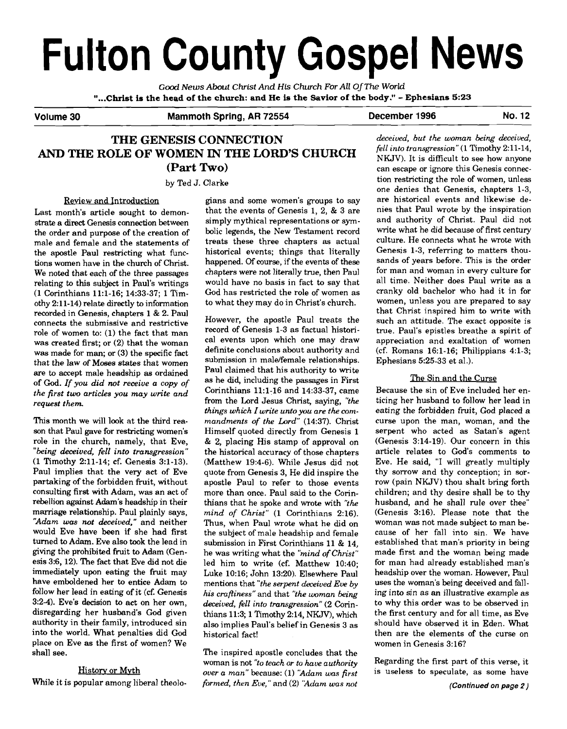# Fulton County Gospel News

**Good** *News About Christ And* **His Church** *For All OfThe World*  **"...Christ is the head of the church: and He is the Savior of the body."** - **Ephesians 5:23** 

#### Volume 30 Mammoth Spring, AR 72554 December 1996 No. 12

## **THE GENESIS CONNECTION AND THE ROLE OF WOMEN IN THE LORD'S CHURCH (Part Two)**

by Ted J. Clarke

#### Review and Introduction

Last month's article sought to demonstrate a direct Genesis connection between the order and purpose of the creation of male and female and the statements of the apostle Paul restricting what functions women have in the church of Christ. We noted that each of the three passages relating to this subject in Paul's writings (1 Corinthians 11:1-16; 14:33-37; 1 Timothy 2:ll-14) relate directly to information recorded in Genesis, chapters 1 & 2. Paul connects the submissive and restrictive role of women to: (1) the fact that man was created first; or (2) that the woman was made for man; or (3) the specific fact that the law of Moses states that women are to accept male headship **as** ordained of God. *If you did not receive a copy of the first two articles you may write and request them* 

This month we will look at the third reason that Paul gave for restricting women's role in the church, namely, that Eve, *"being deceived, fell into transgression"*  (1 Timothy 211-14; cf. Genesis 3:l-13). Paul implies that the very act of Eve partaking of the forbidden fruit, without consulting first with Adam, was an act of rebellion against Adam's headship in their marriage relationship. Paul plainly says, *'Adam was not deceived,"* and neither would Eve have been if she had first turned to Adam. Eve also took the lead in giving the prohibited fruit to Adam (Genesis 3:6,12). The fact that Eve did not die immediately upon eating the fruit may have emboldened her to entice Adam to follow her lead in eating of it **(cf.** Genesis 32-4). Eve's decision to act on her own, disregarding her husband's God given authority in their family, introduced sin into the world. What penalties did God place on Eve as the first of women? We shall see.

#### Historv or Mvth

While it is popular among liberal theolo-

gians and some women's groups to say that the events of Genesis 1, 2, & 3 are simply mythical representations or symbolic legends, the New Testament record treats these three chapters as actual historical events; things that literally happened. Of course, if the events of these chapters were not literally true, then Paul would have no basis in fact to say that God has restricted the role of women as to what they may do in Christ's church.

However, the apostle Paul treats the record of Genesis 1-3 as factual historical events upon which one may draw definite conclusions about authority and submission in male/female relationships. Paul claimed that his authority to write as he did, including the passages in First Corinthians 11:l-16 and 14:33-37, came from the Lord Jesus Christ, saying, *"the things which I write unto you are the commandments of the Lord"* (14:37). Christ Himself quoted directly from Genesis 1 & 2, placing His stamp of approval on the historical accuracy of those chapters (Matthew 19:4-6). While Jesus did not quote from Genesis 3, He did inspire the apostle Paul to refer to those events more than once. Paul said to the Corinthians that he spoke and wrote with *"the mind of Christ"* (1 Corinthians 2:16). Thus, when Paul wrote what he did on the subject of male headship and female submission in First Corinthians 11 & 14, he was writing what the *"mind of Christ"*  led him to write (cf. Matthew 10:40; Luke 10:16; John 13:20). Elsewhere Paul mentions that *"the serpent deceived Eve by his craftiness*" and that "the woman being *deceived, fell into transgression"* (2 Corinthians 11:3; 1 Timothy 2:14, NKJV), which also implies Paul's belief in Genesis 3 as historical fact!

The inspired apostle concludes that the woman is not "to *teach or to* **have** *authority over a man"* because: (1) *'ildam was first formed, then Ewe,"* and (2) *'Adam was not* 

*deceived, but the woman being deceiwed, fell into transgression"* (1 Timothy 2:ll-14, NKJV). It is difficult to see how anyone can escape or ignore this Genesis connection restricting the role of women, unless one denies that Genesis, chapters 1-3, are historical events and likewise denies that Paul wrote by the inspiration and authority of Christ. Paul did not write what he did because of first century culture. He connects what he wrote with Genesis 1-3, referring to matters thousands of years before. This is the order for man and woman in every culture for all time. Neither does Paul write as a cranky old bachelor who had it in for women, unless you are prepared to say that Christ inspired him to write with such an attitude. The exact opposite is true. Paul's epistles breathe a spirit of appreciation and exaltation of women (cf. Romans 16:l-16; Philippians 4:l-3; Ephesians 5:25-33 et al.).

#### The Sin and the Curse

Because the sin of Eve included her enticing her husband to follow her lead in eating the forbidden fruit, God placed a curse upon the man, woman, and the serpent who acted as Satan's agent (Genesis 3:14-19). Our concern in this article relates to God's comments to Eve. He said, "I will greatly multiply thy sorrow and thy conception; in sorrow (pain NKJV) thou shalt bring forth children; and thy desire shall be to thy husband, and he shall rule over thee" (Genesis 3:16). Please note that the woman was not made subject to man because of her fall into sin. We have established that man's priority in being made first and the woman being made for man had already established man's headship over the woman. However, Paul uses the woman's being deceived and falling into sin as an illustrative example as to why this order was to be observed in the first century and for all time, as Eve should have observed it in Eden. What then are the elements of the curse on women in Genesis 3:16?

Regarding the first part of this verse, it is useless to speculate, as some have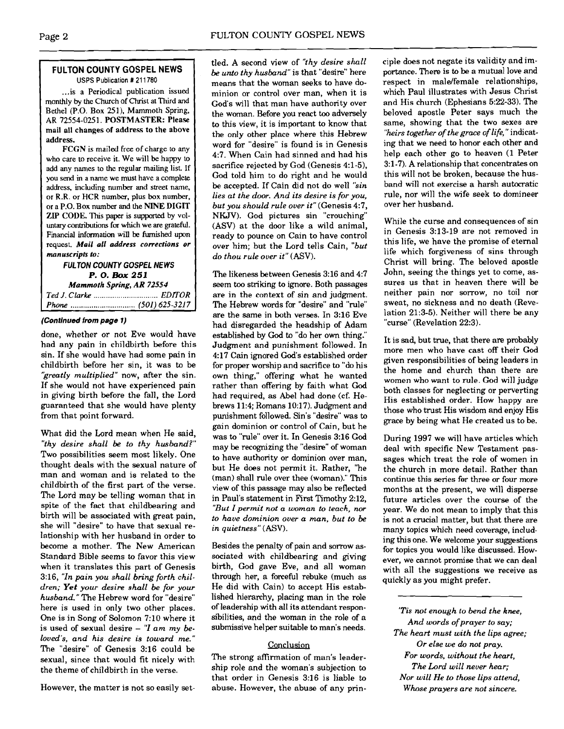#### **FULTON COUNTY GOSPEL NEWS USPS Publication** # **21 1780**

... is a Periodical publication issued monthly by the Church of Christ at Third and Bethel (P.O. Box 251), Mammoth Spring, **AR 72554-0251.** POSTMASTER: Please mail all changes of address to the above address.

**FCCN** is mailed **free** of charge to **any**  who care to receive it. We will be happy to add any names **ta** the regular mailing list If you send in a name we must have a complete address, including number and street name, or **R.R.** or **HCR** number, plus **box** number, or a P.O. Box number and the NINE DIGIT ZIP CODE. This paper is supported by voluntary contributions for which we are grateful. Financial information will be **furnished** upon request. **Mail a11 address corrections or manuscripts to:** 

#### **FULTON COUNTY GOSPEL NEWS P. 0. Bar 251 Mammoth Spring, AR 72554**  *Ted J. Clarke* ............................... *EDITOR Phone* ............................... **(501) 625-321 7**

#### **(Contlnued from page I)**

done, whether or not Eve would have had any pain in childbirth before this sin. If she would have had some pain in childbirth before her sin, it was to be *'greatly multiplied"* now, after the sin. If she would not have experienced pain in giving birth before the fall, the Lord guaranteed that she would have plenty from that point forward.

What did the Lord mean when He said, *"thy desire shall be to thy husband?"*  Two possibilities seem most likely. One thought deals with the sexual nature of man and woman and is related to the childbirth of the first part of the verse. The Lord may be telling woman that in spite of the fact that childbearing and birth will be associated with great pain, she will "desire" to have that sexual relationship with her husband in order to become a mother. The New American Standard Bible seems to favor this view when it translates this part of Genesis **3:16,** *"In pain you shall bring forth children; Yet your desire shall be for your husband."* The Hebrew word for "desire" here is used in only two other places. One is in Song of Solomon **7:10** where it is used of sexual desire - *"I am my beloved's, and his desire is toward me."*  The "desire" of Genesis **3:16** could be sexual, since that would fit nicely with the theme of childbirth in the verse.

However, the matter is not so easily set-

tled. A second view of *"thy desire shall be unto thy husband"* is that "desire" here means that the woman seeks to have dominion or control over man, when it is God's will that man have authority over the woman. Before you react too adversely to this view, it is important to know that the only other place where this Hebrew word for "desire" is found is in Genesis **4:7.** When Cain had sinned and had his sacrifice rejected by God (Genesis 4:1-5). God told him to do right and he would be accepted. If Cain did not do well "sin *lies at the door. And its desire is for you, but you should rule over it"* (Genesis **4:7, NKJV).** God pictures sin "crouching" (ASV) at the door like a wild animal, ready to pounce on Cain to have control over him; but the Lord tells Cain, *"but do thou rule over it"* **(ASV).** 

The likeness between Genesis **3:16** and **4:7**  seem too striking to ignore. Both passages are in the context of sin and judgment. The Hebrew words for "desire" and "rule" are the same in both verses. In **3:16** Eve had disregarded the headship of Adam established by God to "do her own thing." Judgment and punishment followed. In **417** Cain ignored God's established order for proper worship and sacrifice to "do his own thing," offering what he wanted rather than offering by faith what **God**  had required, as Abel had done (cf. Hebrews **11:4;** Romans **10:17).** Judgment and punishment followed. Sin's "desire" was to gain dominion or control of Cain, but he was to "rule" over it. In Genesis **3:16** God may be recognizing the "desire" of woman to have authority or dominion over man, but He does not permit it. Rather, "he (man) shall rule over thee (woman)." This view of this passage may also be reflected in Paul's statement in First Timothy **2:12,**  *"But I permit not a woman to teach, nor to have dominion over a man, but to be in quietness"* **(ASV).** 

Besides the penalty of pain and sorrow associated with childbearing and giving birth, God gave Eve, and all woman through her, a forceful rebuke (much as He did with Cain) to accept His established hierarchy, placing man in the role of leadership with all its attendant responsibilities, and the woman in the role of a submissive helper suitable to man's needs.

#### Conclusion

The strong affirmation of man's leadership role and the woman's subjection to that order in Genesis **3:16** is liable **to**  abuse. However, the abuse of any principle does not negate its validity and importance. There is to be a mutual love and respect in malelfemale relationships, which Paul illustrates with Jesus Christ and His church (Ephesians **5:22-33).** The beloved apostle Peter says much the same, showing that the two sexes are *"heirs together of thegrace of life,"* indicating that we need to honor each other and help each other go to heaven **(1** Peter **3:l-7).** A relationship that concentrates on this will not be broken, because the husband will not exercise a harsh autocratic rule, nor will the wife seek to domineer over her husband.

While the curse and consequences of sin in Genesis **3:13-19** are not removed in this life, we have the promise of eternal life which forgiveness of sins through Christ will bring. The beloved apostle John, seeing the things yet to come, assures us that in heaven there will be neither pain nor sorrow, no toil nor sweat, no sickness and no death (Revelation **21:3-5).** Neither will there be any "curse" (Revelation **22:3).** 

It is **sad,** but true, that there are probably more men who have cast off their God given responsibilities of being leaders in the home and church than there are women who want to rule. God will judge both classes for neglecting or perverting His established order. How happy are those who trust His wisdom and enjoy His grace by being what He created us to be.

During **1997** we will have articles which deal with specific New Testament passages which treat the role of women in the church in more detail. Rather than continue this series for three or four more months at the present, we will disperse future articles over the course of the year. We do not mean to imply that this is not a crucial matter, but that there are many topics which need coverage, including this one. We welcome your suggestions for topics you would like discussed. However, we cannot promise that we can deal with all the suggestions we receive as quickly as you might prefer.

*'Tis not enough to bend the knee, And words of prayer to say; The heart must with the lips agree; Or else we do not pray. For words, without the heart, The Lord will never hear; Nor will He to those lips attend, Whose prayers are not sincere.*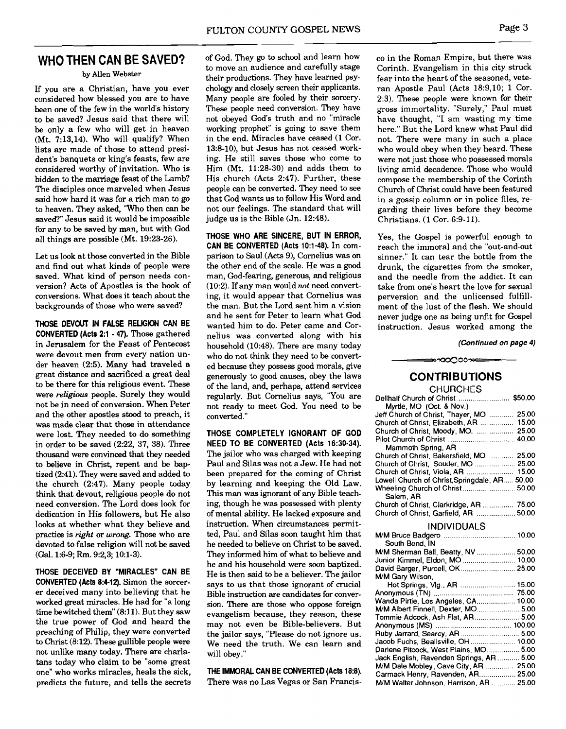## **WHO THEN CAN BE SAVED?**

by Allen Webster

If you are a Christian, have you ever considered how blessed you are to have been one of the few in the world's history to be saved? Jesus said that there will be only a few who will get in heaven (Mt. 7:13,14). Who will qualify? When lists are made of those to attend president's banquets or king's feasts, few are considered worthy of invitation. Who is bidden to the marriage feast of the Lamb? The disciples once marveled when Jesus said how hard it was for a rich man to go to heaven. They asked, ''Who then can be saved?" Jesus said it would be impossible for any to be saved by man, but with God all things are possible (Mt. 19:23-26).

Let us look at those converted in the Bible and find out what kinds of people were saved. What kind of person needs conversion? Acts of Apostles is the book of conversions. What does it teach about the backgrounds of those who were saved?

**THOSE DEVOUT IN FALSE RELIGION CAN BE CONVERTED (Acts** 2:l - 47). Those gathered in Jerusalem for the Feast of Pentecost were devout men from every nation under heaven (2:5). Many had traveled a great distance and sacrificed a great deal to be there for this religious event. These were **religious** people. Surely they would not be in need of conversion. When Peter and the other apostles stood to preach, it was made clear that those in attendance were lost. They needed to do something in order to be saved  $(2:22, 37, 38)$ . Three thousand were convinced that they needed to believe in Christ, repent and be baptized (2:41). They were saved and added to the church (2:47). Many people today think that devout, religious people do not need conversion. The Lord does look for dedication in His followers, but He also looks at whether what they believe and practice is *right* or **wrong.** Those who are devoted to false religion will not be saved (Gal. 1:6-9; Rm. 9:2,3; 1O:l-3).

**THOSE DECEIVED BY "MIRACLES" CAN BE CONVERTED (Acts** 8:4-12). Simon the sorcerer deceived many into believing that he worked great miracles. He had for "a long time bewitched them" (8:11). But they saw the true power of God and heard the preaching of Philip, they were converted to Christ (8:12). These gullible people were not unlike many today. There are charlatans today who claim to be "some great one" who works miracles, heals the sick, predicts the future, and tells the secrets of God. They go to school and learn how to move an audience and carefully stage their productions. They have learned psycholcgy and closely screen their applicants. Many people are fooled by their sorcery. These people need conversion. They have not obeyed God's truth and no "miracle working prophet" is going to save them in the end. Miracles have ceased (1 Cor. 13:8-10), but Jesus has not ceased working. He still saves those who come to Him (Mt. 11:28-30) and adds them to His church (Acts 2:47). Further, these people can be converted. They need to see that God wants us to follow His Word and not our feelings. The standard that will judge us is the Bible (Jn. 12:48).

**THOSE WHO ARE SINCERE, BUT IN ERROR, CAN BE CONVERTED (Acts** 10:l-48). In comparison to Saul (Acts 9), Cornelius was on the other end of the scale. He was a good man, God-fearing, generous, and religious (10:2). If any man would not need converting, it would appear that Cornelius was the man. But the Lord sent him a vision and he sent for Peter to learn what God wanted him to do. Peter came and Cornelius was converted along with his household (10:48). There are many today who do not think they need to be converted because they possess good morals, give generously to good causes, obey the laws of the land, and, perhaps, attend services regularly. But Cornelius says, "You are not ready to meet God. You need to be converted."

**THOSE COMPLETELY IGNORANT OF GOD NEED TO BE CONVERTED (Acts 16:30-34).** The jailor who was charged with keeping Paul and Silas was not a Jew. He had not been prepared for the coming of Christ by learning and keeping the Old Law. This man was ignorant of any Bible teaching, though he was possessed with plenty of mental ability. He lacked exposure and instruction. When circumstances permitted, Paul and Silas soon taught him that he needed to believe on Christ to be saved. They informed him of what to believe and he and his household were soon baptized. He is then said to be a believer. The jailor says to us that those ignorant of crucial Bible instruction are candidates for conversion. There are those who oppose foreign evangelism because, they reason, these may not even be Bible-believers. But the jailor says, "Please do not ignore us. We need the truth. We can learn and will obey."

**THE IMMORAL CAN BE CONVERTED (Acts** 18:8). There was no Las Vegas or San Francisco in the Roman Empire, but there was Corinth. Evangelism in this city struck fear into the heart of the seasoned, veteran Apostle Paul (Acts 18:9,10; 1 Cor. 23). These people were known for their gross immortality. "Surely," Paul must have thought, "I am wasting my time here." But the Lord knew what Paul did not. There were many in such a place who would obey when they heard. These were not just those who possessed morals living amid decadence. Those who would compose the membership of the Corinth Church of Christ could have been featured in a gossip column or in police files, regarding their lives before they become Christians. (1 Cor. 6:9-11).

Yes, the Gospel is powerful enough to reach the immoral and the "out-and-out sinner." It can tear the bottle from the drunk, the cigarettes from the smoker, and the needle from the addict. It can take from one's heart the love for sexual perversion and the unlicensed fulfillment of the lust of the flesh. We should never judge one as being unfit for Gospel instruction. Jesus worked among the

**(Continued on page 4)** 

## **CONTRIBUTIONS**

∞∞೦೦೧೦೦∞≔

|  |  | <b>CHURCHES</b> |
|--|--|-----------------|
|  |  |                 |

| Dellhalf Church of Christ  \$50.00                                        |  |  |  |  |
|---------------------------------------------------------------------------|--|--|--|--|
| Myrtle, MO (Oct. & Nov.)                                                  |  |  |  |  |
| Jeff Church of Christ, Thayer, MO  25.00                                  |  |  |  |  |
| Church of Christ, Elizabeth, AR  15.00                                    |  |  |  |  |
| Church of Christ, Moody, MO.  25.00                                       |  |  |  |  |
| Pilot Church of Christ  40.00                                             |  |  |  |  |
| Mammoth Spring, AR                                                        |  |  |  |  |
| Church of Christ, Bakersfield, MO  25.00                                  |  |  |  |  |
|                                                                           |  |  |  |  |
| Church of Christ, Souder, MO  25.00<br>Church of Christ, Viola, AR  15.00 |  |  |  |  |
| Lowell Church of Christ, Springdale, AR 50.00                             |  |  |  |  |
|                                                                           |  |  |  |  |
| Salem, AR                                                                 |  |  |  |  |
| Church of Christ, Clarkridge, AR  75.00                                   |  |  |  |  |
| Church of Christ, Garfield, AR  50.00                                     |  |  |  |  |
|                                                                           |  |  |  |  |
| <b>INDIVIDUALS</b>                                                        |  |  |  |  |
|                                                                           |  |  |  |  |
| South Bend, IN                                                            |  |  |  |  |
| M/M Sherman Ball, Beatty, NV  50.00                                       |  |  |  |  |
| Junior Kimmel, Eldon, MO  10.00                                           |  |  |  |  |
| David Barger, Purcell, OK 25.00                                           |  |  |  |  |
| <b>M/M Gary Wilson,</b>                                                   |  |  |  |  |
| Hot Springs, Vlg., AR  15.00                                              |  |  |  |  |
|                                                                           |  |  |  |  |
| Wanda Pirtle, Los Angeles, CA 10.00                                       |  |  |  |  |
| <b>MM Albert Finnell, Dexter, MO 5.00</b>                                 |  |  |  |  |
| Tommie Adcock, Ash Flat, AR 5.00                                          |  |  |  |  |
|                                                                           |  |  |  |  |
| Ruby Jarrard, Searcy, AR 5.00                                             |  |  |  |  |
| Jacob Fuchs, Beallsville, OH  10.00                                       |  |  |  |  |
| Darlene Pitcock, West Plains, MO 5.00                                     |  |  |  |  |
| Jack English, Ravenden Springs, AR 5.00                                   |  |  |  |  |
| M/M Dale Mobley, Cave City, AR  25.00                                     |  |  |  |  |
| Carmack Henry, Ravenden, AR 25.00                                         |  |  |  |  |
| M/M Walter Johnson, Harrison, AR  25.00                                   |  |  |  |  |